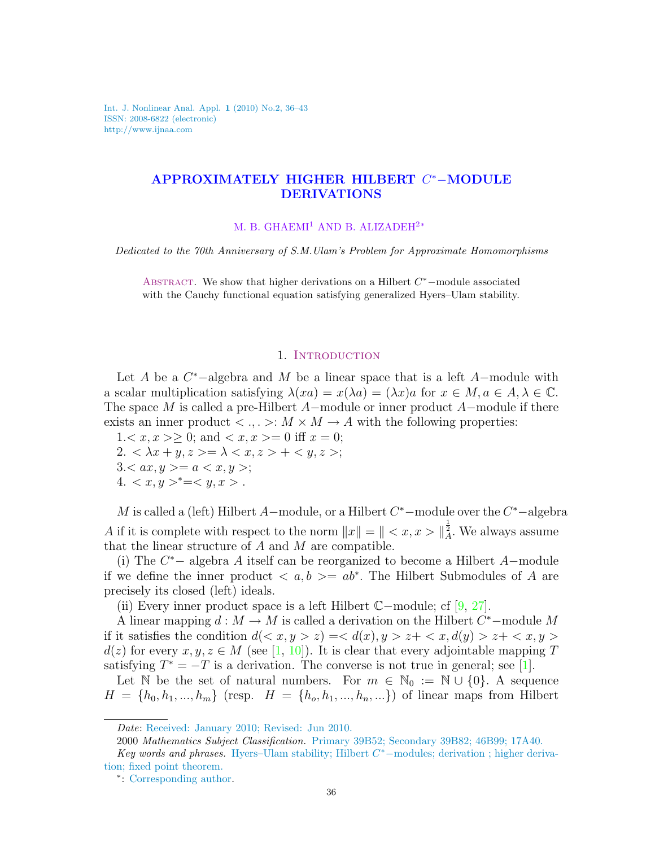Int. J. Nonlinear Anal. Appl. 1 (2010) No.2, 36–43 ISSN: 2008-6822 (electronic) http://www.ijnaa.com

## APPROXIMATELY HIGHER HILBERT C <sup>∗</sup>−MODULE DERIVATIONS

M. B. GHAEMI<sup>1</sup> AND B. ALIZADEH<sup>2</sup><sup>∗</sup>

Dedicated to the 70th Anniversary of S.M.Ulam's Problem for Approximate Homomorphisms

ABSTRACT. We show that higher derivations on a Hilbert  $C^*$  –module associated with the Cauchy functional equation satisfying generalized Hyers–Ulam stability.

## 1. INTRODUCTION

Let A be a  $C^*$ -algebra and M be a linear space that is a left A-module with a scalar multiplication satisfying  $\lambda(xa) = x(\lambda a) = (\lambda x)a$  for  $x \in M, a \in A, \lambda \in \mathbb{C}$ . The space M is called a pre-Hilbert A−module or inner product A−module if there exists an inner product  $\lt \ldots \gt: M \times M \to A$  with the following properties:

 $1 < x, x > \geq 0$ ; and  $< x, x > = 0$  iff  $x = 0$ ;  $2. \langle \lambda x + y, z \rangle = \lambda \langle x, z \rangle + \langle y, z \rangle;$  $3 < ax, y > = a < x, y >;$ 4.  $\langle x, y \rangle^* = \langle y, x \rangle$ .

M is called a (left) Hilbert A-module, or a Hilbert  $C^*$ -module over the  $C^*$ -algebra A if it is complete with respect to the norm  $||x|| = || < x, x > ||\frac{1}{A}$ . We always assume that the linear structure of  $A$  and  $M$  are compatible.

(i) The  $C^*$  – algebra A itself can be reorganized to become a Hilbert A–module if we define the inner product  $\langle a, b \rangle = ab^*$ . The Hilbert Submodules of A are precisely its closed (left) ideals.

(ii) Every inner product space is a left Hilbert C−module; cf [\[9,](#page-6-0) [27\]](#page-7-0).

A linear mapping  $d : M \to M$  is called a derivation on the Hilbert  $C^*$ -module M if it satisfies the condition  $d\langle x, y \rangle z \rangle = \langle d(x), y \rangle z + \langle x, d(y) \rangle z + \langle x, y \rangle$  $d(z)$  for every  $x, y, z \in M$  (see [\[1,](#page-6-1) [10\]](#page-6-2)). It is clear that every adjointable mapping T satisfying  $T^* = -T$  is a derivation. The converse is not true in general; see [\[1\]](#page-6-1).

Let N be the set of natural numbers. For  $m \in \mathbb{N}_0 := \mathbb{N} \cup \{0\}$ . A sequence  $H = \{h_0, h_1, ..., h_m\}$  (resp.  $H = \{h_0, h_1, ..., h_n, ...\}$ ) of linear maps from Hilbert

Date: Received: January 2010; Revised: Jun 2010.

<sup>2000</sup> Mathematics Subject Classification. Primary 39B52; Secondary 39B82; 46B99; 17A40.

Key words and phrases. Hyers-Ulam stability; Hilbert C<sup>\*</sup>-modules; derivation; higher derivation; fixed point theorem.

<sup>∗</sup> : Corresponding author.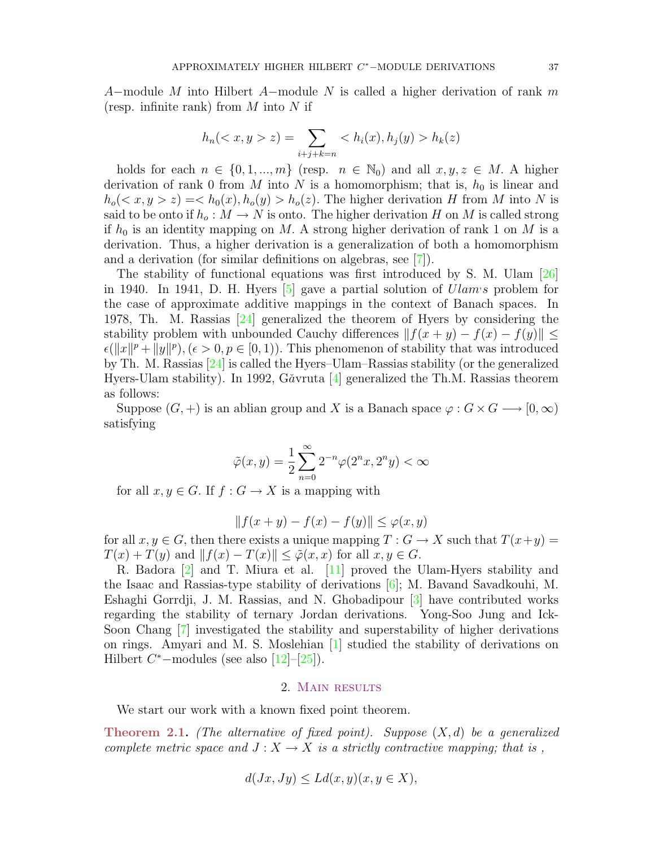A–module M into Hilbert A–module N is called a higher derivation of rank m (resp. infinite rank) from  $M$  into  $N$  if

$$
h_n( z) = \sum_{i+j+k=n}  h_k(z)
$$

holds for each  $n \in \{0, 1, ..., m\}$  (resp.  $n \in \mathbb{N}_0$ ) and all  $x, y, z \in M$ . A higher derivation of rank 0 from M into N is a homomorphism; that is,  $h_0$  is linear and  $h_o(*x*, *y* > *z*) =  $h_o(x)$ ,  $h_o(y) > h_o(z)$ . The higher derivation H from M into N is$ said to be onto if  $h_o: M \to N$  is onto. The higher derivation H on M is called strong if  $h_0$  is an identity mapping on M. A strong higher derivation of rank 1 on M is a derivation. Thus, a higher derivation is a generalization of both a homomorphism and a derivation (for similar definitions on algebras, see [\[7\]](#page-6-3)).

The stability of functional equations was first introduced by S. M. Ulam [\[26\]](#page-7-1) in 1940. In 1941, D. H. Hyers  $[5]$  gave a partial solution of  $Ulam \cdot s$  problem for the case of approximate additive mappings in the context of Banach spaces. In 1978, Th. M. Rassias [\[24\]](#page-7-2) generalized the theorem of Hyers by considering the stability problem with unbounded Cauchy differences  $|| f(x + y) - f(x) - f(y)|| \le$  $\epsilon(\Vert x \Vert^p + \Vert y \Vert^p), (\epsilon > 0, p \in [0, 1)).$  This phenomenon of stability that was introduced by Th. M. Rassias [\[24\]](#page-7-2) is called the Hyers–Ulam–Rassias stability (or the generalized Hyers-Ulam stability). In 1992, Găvruta  $[4]$  generalized the Th.M. Rassias theorem as follows:

Suppose  $(G, +)$  is an ablian group and X is a Banach space  $\varphi : G \times G \longrightarrow [0, \infty)$ satisfying

$$
\tilde{\varphi}(x,y)=\frac{1}{2}\sum_{n=0}^{\infty}2^{-n}\varphi(2^nx,2^ny)<\infty
$$

for all  $x, y \in G$ . If  $f : G \to X$  is a mapping with

$$
|| f(x + y) - f(x) - f(y)|| \le \varphi(x, y)
$$

for all  $x, y \in G$ , then there exists a unique mapping  $T : G \to X$  such that  $T(x+y) =$  $T(x) + T(y)$  and  $||f(x) - T(x)|| \leq \tilde{\varphi}(x, x)$  for all  $x, y \in G$ .

R. Badora [\[2\]](#page-6-6) and T. Miura et al. [\[11\]](#page-6-7) proved the Ulam-Hyers stability and the Isaac and Rassias-type stability of derivations  $[6]$ ; M. Bavand Savadkouhi, M. Eshaghi Gorrdji, J. M. Rassias, and N. Ghobadipour [\[3\]](#page-6-9) have contributed works regarding the stability of ternary Jordan derivations. Yong-Soo Jung and Ick-Soon Chang [\[7\]](#page-6-3) investigated the stability and superstability of higher derivations on rings. Amyari and M. S. Moslehian [\[1\]](#page-6-1) studied the stability of derivations on Hilbert  $C^*$ -modules (see also  $[12]-[25]$  $[12]-[25]$  $[12]-[25]$ ).

## 2. Main results

We start our work with a known fixed point theorem.

**Theorem 2.1.** (The alternative of fixed point). Suppose  $(X, d)$  be a generalized complete metric space and  $J: X \to X$  is a strictly contractive mapping; that is,

$$
d(Jx, Jy) \le Ld(x, y)(x, y \in X),
$$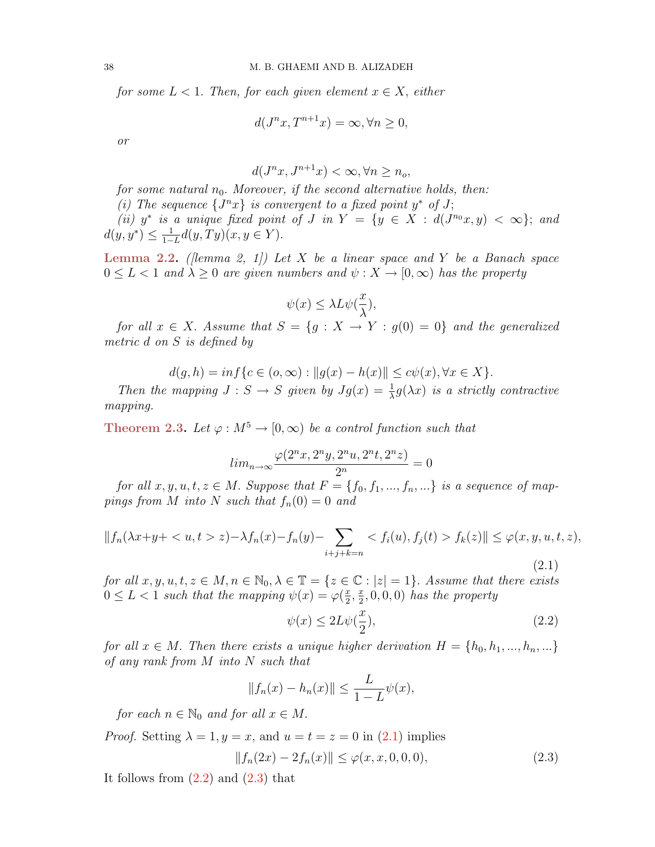for some  $L < 1$ . Then, for each given element  $x \in X$ , either

$$
d(J^{n}x, T^{n+1}x) = \infty, \forall n \ge 0,
$$

or

$$
d(J^{n}x, J^{n+1}x) < \infty, \forall n \ge n_o,
$$

for some natural  $n_0$ . Moreover, if the second alternative holds, then:

(i) The sequence  $\{J^n x\}$  is convergent to a fixed point  $y^*$  of J;

(ii)  $y^*$  is a unique fixed point of J in  $Y = \{y \in X : d(J^{n_0}x, y) < \infty\};$  and  $d(y, y^*) \leq \frac{1}{1-z}$  $\frac{1}{1-L}d(y,Ty)(x,y\in Y).$ 

**Lemma 2.2.** ([lemma 2, 1]) Let X be a linear space and Y be a Banach space  $0 \leq L < 1$  and  $\lambda \geq 0$  are given numbers and  $\psi: X \to [0, \infty)$  has the property

$$
\psi(x)\leq \lambda L \psi(\frac{x}{\lambda}),
$$

for all  $x \in X$ . Assume that  $S = \{g : X \to Y : g(0) = 0\}$  and the generalized metric d on S is defined by

$$
d(g, h) = \inf \{ c \in (o, \infty) : ||g(x) - h(x)|| \le c\psi(x), \forall x \in X \}.
$$

Then the mapping  $J : S \to S$  given by  $Jg(x) = \frac{1}{\lambda}g(\lambda x)$  is a strictly contractive mapping.

Theorem 2.3. Let  $\varphi : M^5 \to [0, \infty)$  be a control function such that

$$
lim_{n \to \infty} \frac{\varphi(2^n x, 2^n y, 2^n u, 2^n t, 2^n z)}{2^n} = 0
$$

for all  $x, y, u, t, z \in M$ . Suppose that  $F = \{f_0, f_1, ..., f_n, ...\}$  is a sequence of mappings from M into N such that  $f_n(0) = 0$  and

<span id="page-2-0"></span>
$$
||f_n(\lambda x + y + \langle u, t \rangle z) - \lambda f_n(x) - f_n(y) - \sum_{i+j+k=n} \langle f_i(u), f_j(t) \rangle f_k(z)|| \leq \varphi(x, y, u, t, z),
$$
\n(2.1)

for all  $x, y, u, t, z \in M, n \in \mathbb{N}_0, \lambda \in \mathbb{T} = \{z \in \mathbb{C} : |z| = 1\}.$  Assume that there exists  $0 \leq L < 1$  such that the mapping  $\psi(x) = \varphi(\frac{x}{2})$  $\frac{x}{2}, \frac{x}{2}$  $(\frac{x}{2},0,0,0)$  has the property

<span id="page-2-2"></span><span id="page-2-1"></span>
$$
\psi(x) \le 2L\psi(\frac{x}{2}),\tag{2.2}
$$

for all  $x \in M$ . Then there exists a unique higher derivation  $H = \{h_0, h_1, ..., h_n, ...\}$ of any rank from M into N such that

$$
||f_n(x) - h_n(x)|| \le \frac{L}{1 - L}\psi(x),
$$

for each  $n \in \mathbb{N}_0$  and for all  $x \in M$ .

*Proof.* Setting  $\lambda = 1, y = x$ , and  $u = t = z = 0$  in [\(2.1\)](#page-2-0) implies

$$
||f_n(2x) - 2f_n(x)|| \le \varphi(x, x, 0, 0, 0), \tag{2.3}
$$

It follows from  $(2.2)$  and  $(2.3)$  that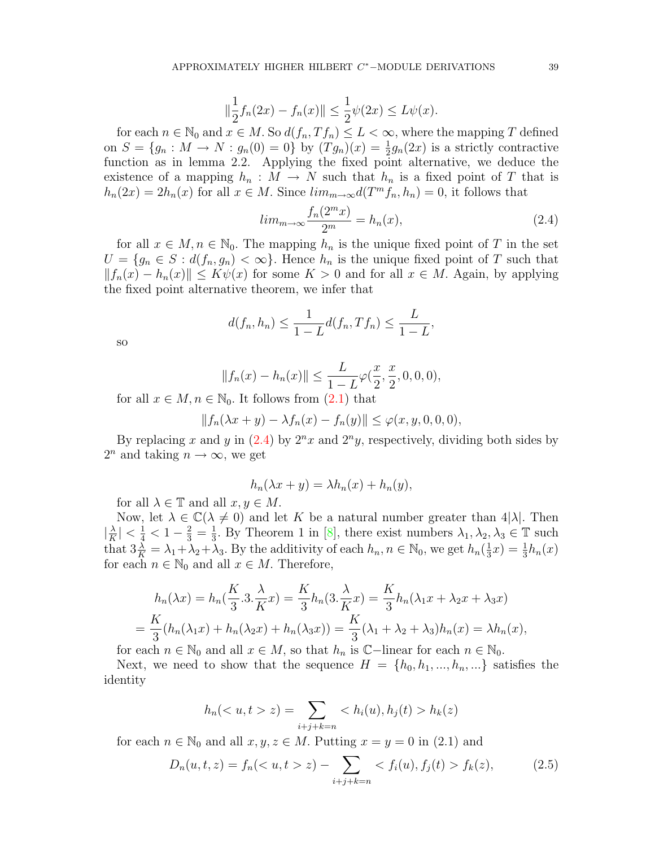$$
\|\frac{1}{2}f_n(2x) - f_n(x)\| \le \frac{1}{2}\psi(2x) \le L\psi(x).
$$

for each  $n \in \mathbb{N}_0$  and  $x \in M$ . So  $d(f_n, Tf_n) \leq L < \infty$ , where the mapping T defined on  $S = \{g_n : M \to N : g_n(0) = 0\}$  by  $(Tg_n)(x) = \frac{1}{2}g_n(2x)$  is a strictly contractive function as in lemma 2.2. Applying the fixed point alternative, we deduce the existence of a mapping  $h_n : M \to N$  such that  $h_n$  is a fixed point of T that is  $h_n(2x) = 2h_n(x)$  for all  $x \in M$ . Since  $\lim_{m \to \infty} d(T^m f_n, h_n) = 0$ , it follows that

<span id="page-3-0"></span>
$$
lim_{m \to \infty} \frac{f_n(2^m x)}{2^m} = h_n(x),
$$
\n(2.4)

for all  $x \in M, n \in \mathbb{N}_0$ . The mapping  $h_n$  is the unique fixed point of T in the set  $U = \{g_n \in S : d(f_n, g_n) < \infty\}.$  Hence  $h_n$  is the unique fixed point of T such that  $||f_n(x) - h_n(x)|| \le K\psi(x)$  for some  $K > 0$  and for all  $x \in M$ . Again, by applying the fixed point alternative theorem, we infer that

$$
d(f_n, h_n) \le \frac{1}{1 - L} d(f_n, Tf_n) \le \frac{L}{1 - L},
$$

so

$$
||f_n(x) - h_n(x)|| \le \frac{L}{1 - L} \varphi(\frac{x}{2}, \frac{x}{2}, 0, 0, 0),
$$

for all  $x \in M, n \in \mathbb{N}_0$ . It follows from  $(2.1)$  that

$$
||f_n(\lambda x + y) - \lambda f_n(x) - f_n(y)|| \leq \varphi(x, y, 0, 0, 0),
$$

By replacing x and y in  $(2.4)$  by  $2^n x$  and  $2^n y$ , respectively, dividing both sides by  $2^n$  and taking  $n \to \infty$ , we get

$$
h_n(\lambda x + y) = \lambda h_n(x) + h_n(y),
$$

for all  $\lambda \in \mathbb{T}$  and all  $x, y \in M$ .

Now, let  $\lambda \in \mathbb{C}(\lambda \neq 0)$  and let K be a natural number greater than  $4|\lambda|$ . Then  $\frac{\lambda}{K}$  $\frac{\lambda}{K}$  |  $\lt \frac{1}{4}$   $\lt 1 - \frac{2}{3} = \frac{1}{3}$  $\frac{1}{3}$ . By Theorem 1 in [\[8\]](#page-6-11), there exist numbers  $\lambda_1, \lambda_2, \lambda_3 \in \mathbb{T}$  such that  $3\frac{\lambda}{K} = \lambda_1 + \lambda_2 + \lambda_3$ . By the additivity of each  $h_n, n \in \mathbb{N}_0$ , we get  $h_n(\frac{1}{3})$  $(\frac{1}{3}x) = \frac{1}{3}h_n(x)$ for each  $n \in \mathbb{N}_0$  and all  $x \in M$ . Therefore,

$$
h_n(\lambda x) = h_n(\frac{K}{3} \cdot 3 \cdot \frac{\lambda}{K} x) = \frac{K}{3} h_n(\lambda x) = \frac{K}{3} h_n(\lambda x) + \lambda_2 x + \lambda_3 x
$$
  
= 
$$
\frac{K}{3} (h_n(\lambda x) + h_n(\lambda x) + h_n(\lambda x)) = \frac{K}{3} (\lambda_1 + \lambda_2 + \lambda_3) h_n(x) = \lambda h_n(x),
$$

for each  $n \in \mathbb{N}_0$  and all  $x \in M$ , so that  $h_n$  is  $\mathbb{C}-$ linear for each  $n \in \mathbb{N}_0$ .

Next, we need to show that the sequence  $H = \{h_0, h_1, ..., h_n, ...\}$  satisfies the identity

<span id="page-3-1"></span>
$$
h_n(z)
$$
 =  $\sum_{i+j+k=n} < h_i(u), h_j(t) > h_k(z)$ 

for each  $n \in \mathbb{N}_0$  and all  $x, y, z \in M$ . Putting  $x = y = 0$  in (2.1) and

$$
D_n(u, t, z) = f_n(\langle u, t > z) - \sum_{i+j+k=n} \langle f_i(u), f_j(t) > f_k(z), \tag{2.5}
$$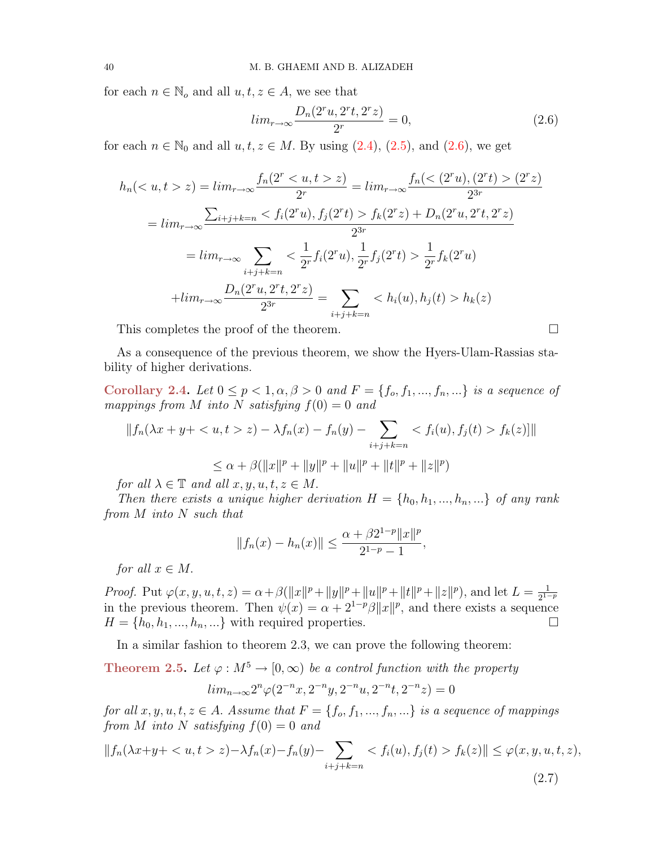for each  $n \in \mathbb{N}_o$  and all  $u, t, z \in A$ , we see that

<span id="page-4-0"></span>
$$
lim_{r \to \infty} \frac{D_n(2^r u, 2^r t, 2^r z)}{2^r} = 0,
$$
\n(2.6)

for each  $n \in \mathbb{N}_0$  and all  $u, t, z \in M$ . By using  $(2.4)$ ,  $(2.5)$ , and  $(2.6)$ , we get

$$
h_n(\langle u, t > z \rangle) = \lim_{r \to \infty} \frac{f_n(2^r \langle u, t > z \rangle)}{2^r} = \lim_{r \to \infty} \frac{f_n(\langle 2^r u), (2^r t) > (2^r z)}{2^{3r}}
$$

$$
= \lim_{r \to \infty} \frac{\sum_{i+j+k=n} \langle f_i(2^r u), f_j(2^r t) > f_k(2^r z) + D_n(2^r u, 2^r t, 2^r z)}{2^{3r}}
$$

$$
= \lim_{r \to \infty} \sum_{i+j+k=n} \langle \frac{1}{2^r} f_i(2^r u), \frac{1}{2^r} f_j(2^r t) > \frac{1}{2^r} f_k(2^r u)
$$

$$
+ \lim_{r \to \infty} \frac{D_n(2^r u, 2^r t, 2^r z)}{2^{3r}} = \sum_{i+j+k=n} \langle h_i(u), h_j(t) > h_k(z) \rangle
$$

This completes the proof of the theorem.

As a consequence of the previous theorem, we show the Hyers-Ulam-Rassias stability of higher derivations.

Corollary 2.4. Let  $0 \le p < 1, \alpha, \beta > 0$  and  $F = \{f_o, f_1, ..., f_n, ...\}$  is a sequence of mappings from M into N satisfying  $f(0) = 0$  and

$$
||f_n(\lambda x + y + \langle u, t \rangle z) - \lambda f_n(x) - f_n(y) - \sum_{i+j+k=n} \langle f_i(u), f_j(t) \rangle f_k(z)||
$$
  

$$
\leq \alpha + \beta (||x||^p + ||y||^p + ||u||^p + ||t||^p + ||z||^p)
$$

for all  $\lambda \in \mathbb{T}$  and all  $x, y, u, t, z \in M$ .

Then there exists a unique higher derivation  $H = \{h_0, h_1, ..., h_n, ...\}$  of any rank from  $M$  into  $N$  such that

$$
||f_n(x) - h_n(x)|| \le \frac{\alpha + \beta 2^{1-p} ||x||^p}{2^{1-p} - 1},
$$

for all  $x \in M$ .

Proof. Put  $\varphi(x, y, u, t, z) = \alpha + \beta(||x||^p + ||y||^p + ||u||^p + ||t||^p + ||z||^p)$ , and let  $L = \frac{1}{2^{1-p}}$ in the previous theorem. Then  $\psi(x) = \alpha + 2^{1-p}\beta \|x\|^p$ , and there exists a sequence  $H = \{h_0, h_1, ..., h_n, ...\}$  with required properties.

In a similar fashion to theorem 2.3, we can prove the following theorem:

**Theorem 2.5.** Let  $\varphi : M^5 \to [0, \infty)$  be a control function with the property

<span id="page-4-1"></span>
$$
lim_{n \to \infty} 2^n \varphi(2^{-n}x, 2^{-n}y, 2^{-n}u, 2^{-n}t, 2^{-n}z) = 0
$$

for all  $x, y, u, t, z \in A$ . Assume that  $F = \{f_0, f_1, ..., f_n, ...\}$  is a sequence of mappings from M into N satisfying  $f(0) = 0$  and

$$
||f_n(\lambda x + y + \langle u, t \rangle z) - \lambda f_n(x) - f_n(y) - \sum_{i+j+k=n} \langle f_i(u), f_j(t) \rangle f_k(z)|| \leq \varphi(x, y, u, t, z),
$$
\n(2.7)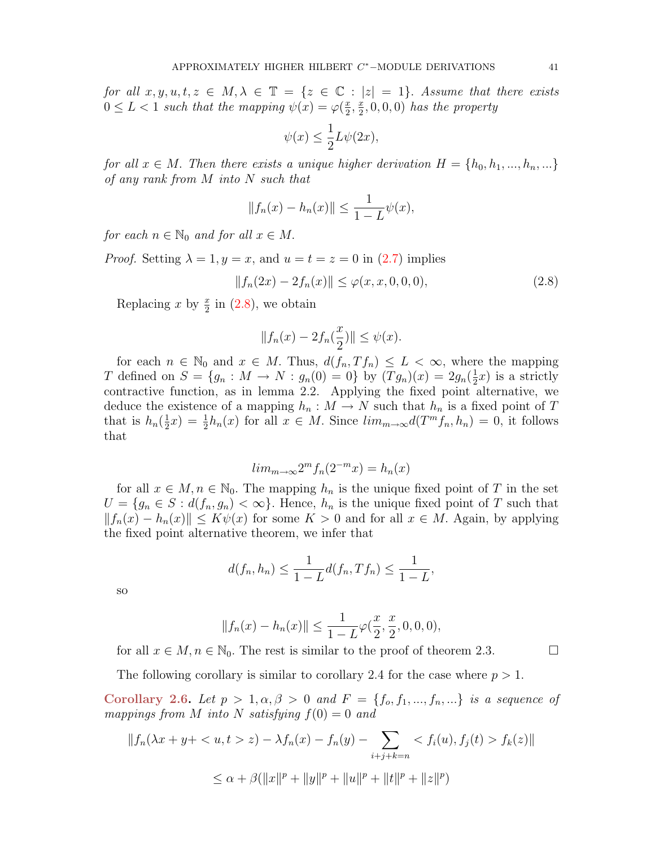for all  $x, y, u, t, z \in M, \lambda \in \mathbb{T} = \{z \in \mathbb{C} : |z| = 1\}$ . Assume that there exists  $0 \leq L < 1$  such that the mapping  $\psi(x) = \varphi(\frac{x}{2})$  $\frac{x}{2}, \frac{x}{2}$  $(\frac{x}{2},0,0,0)$  has the property

$$
\psi(x) \le \frac{1}{2}L\psi(2x),
$$

for all  $x \in M$ . Then there exists a unique higher derivation  $H = \{h_0, h_1, ..., h_n, ...\}$ of any rank from M into N such that

$$
||f_n(x) - h_n(x)|| \le \frac{1}{1 - L} \psi(x),
$$

for each  $n \in \mathbb{N}_0$  and for all  $x \in M$ .

*Proof.* Setting  $\lambda = 1, y = x$ , and  $u = t = z = 0$  in [\(2.7\)](#page-4-1) implies

$$
||f_n(2x) - 2f_n(x)|| \le \varphi(x, x, 0, 0, 0), \tag{2.8}
$$

Replacing x by  $\frac{x}{2}$  in [\(2.8\)](#page-5-0), we obtain

<span id="page-5-0"></span>
$$
||f_n(x) - 2f_n(\frac{x}{2})|| \le \psi(x).
$$

for each  $n \in \mathbb{N}_0$  and  $x \in M$ . Thus,  $d(f_n, Tf_n) \leq L < \infty$ , where the mapping T defined on  $S = \{g_n : M \to N : g_n(0) = 0\}$  by  $(Tg_n)(x) = 2g_n(\frac{1}{2})$  $(\frac{1}{2}x)$  is a strictly contractive function, as in lemma 2.2. Applying the fixed point alternative, we deduce the existence of a mapping  $h_n : M \to N$  such that  $h_n$  is a fixed point of T that is  $h_n(\frac{1}{2})$  $\frac{1}{2}x$  =  $\frac{1}{2}h_n(x)$  for all  $x \in M$ . Since  $\lim_{m\to\infty} d(T^m f_n, h_n) = 0$ , it follows that

$$
lim_{m \to \infty} 2^m f_n(2^{-m} x) = h_n(x)
$$

for all  $x \in M$ ,  $n \in \mathbb{N}_0$ . The mapping  $h_n$  is the unique fixed point of T in the set  $U = \{g_n \in S : d(f_n, g_n) < \infty\}.$  Hence,  $h_n$  is the unique fixed point of T such that  $||f_n(x) - h_n(x)|| \le K\psi(x)$  for some  $K > 0$  and for all  $x \in M$ . Again, by applying the fixed point alternative theorem, we infer that

$$
d(f_n, h_n) \le \frac{1}{1 - L} d(f_n, Tf_n) \le \frac{1}{1 - L},
$$

so

$$
||f_n(x) - h_n(x)|| \le \frac{1}{1 - L} \varphi(\frac{x}{2}, \frac{x}{2}, 0, 0, 0),
$$

for all  $x \in M$ ,  $n \in \mathbb{N}_0$ . The rest is similar to the proof of theorem 2.3.

The following corollary is similar to corollary 2.4 for the case where  $p > 1$ .

Corollary 2.6. Let  $p > 1, \alpha, \beta > 0$  and  $F = \{f_o, f_1, ..., f_n, ...\}$  is a sequence of mappings from M into N satisfying  $f(0) = 0$  and

$$
||f_n(\lambda x + y + \langle u, t \rangle z) - \lambda f_n(x) - f_n(y) - \sum_{i+j+k=n} \langle f_i(u), f_j(t) \rangle f_k(z)||
$$
  

$$
\leq \alpha + \beta (||x||^p + ||y||^p + ||u||^p + ||t||^p + ||z||^p)
$$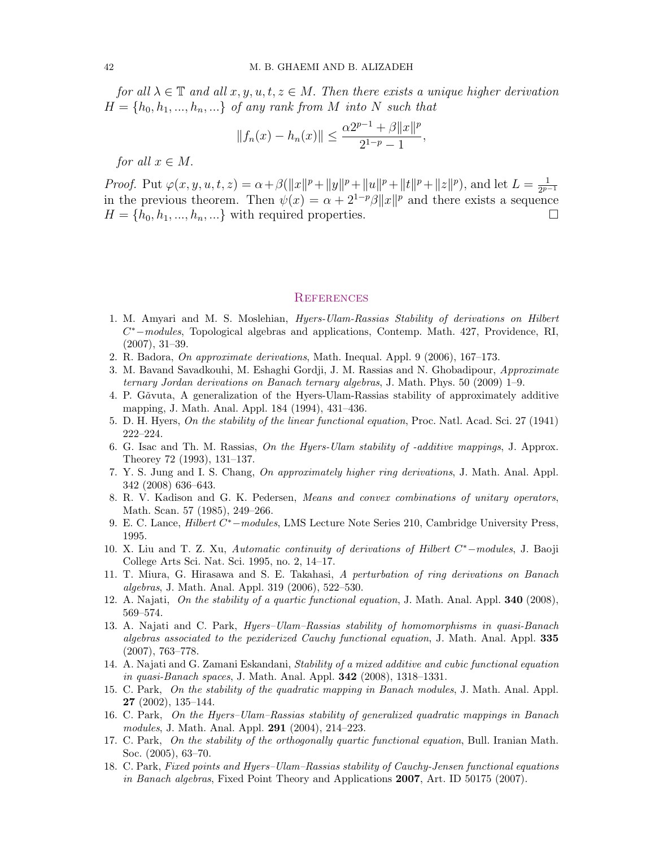for all  $\lambda \in \mathbb{T}$  and all  $x, y, u, t, z \in M$ . Then there exists a unique higher derivation  $H = \{h_0, h_1, ..., h_n, ...\}$  of any rank from M into N such that

$$
||f_n(x) - h_n(x)|| \le \frac{\alpha 2^{p-1} + \beta ||x||^p}{2^{1-p} - 1},
$$

for all  $x \in M$ .

*Proof.* Put  $\varphi(x, y, u, t, z) = \alpha + \beta(||x||^p + ||y||^p + ||u||^p + ||t||^p + ||z||^p)$ , and let  $L = \frac{1}{2p-1}$  $\mu_1$  (bo). Then  $\psi(x, y, a, t, z) = \alpha + \beta (\|\mu\| + \|\gamma\| + \|\alpha\| + \|\gamma\| + \|\gamma\|)$ , and let  $D = \frac{1}{2p-1}$ <br>in the previous theorem. Then  $\psi(x) = \alpha + 2^{1-p}\beta \|x\|^p$  and there exists a sequence  $H = \{h_0, h_1, ..., h_n, ...\}$  with required properties.

## **REFERENCES**

- <span id="page-6-1"></span>1. M. Amyari and M. S. Moslehian, Hyers-Ulam-Rassias Stability of derivations on Hilbert C <sup>∗</sup>−modules, Topological algebras and applications, Contemp. Math. 427, Providence, RI, (2007), 31–39.
- <span id="page-6-6"></span>2. R. Badora, On approximate derivations, Math. Inequal. Appl. 9 (2006), 167–173.
- <span id="page-6-9"></span>3. M. Bavand Savadkouhi, M. Eshaghi Gordji, J. M. Rassias and N. Ghobadipour, Approximate ternary Jordan derivations on Banach ternary algebras, J. Math. Phys. 50 (2009) 1–9.
- <span id="page-6-5"></span>4. P. Găvuta, A generalization of the Hyers-Ulam-Rassias stability of approximately additive mapping, J. Math. Anal. Appl. 184 (1994), 431–436.
- <span id="page-6-4"></span>5. D. H. Hyers, On the stability of the linear functional equation, Proc. Natl. Acad. Sci. 27 (1941) 222–224.
- <span id="page-6-8"></span>6. G. Isac and Th. M. Rassias, On the Hyers-Ulam stability of -additive mappings, J. Approx. Theorey 72 (1993), 131–137.
- <span id="page-6-3"></span>7. Y. S. Jung and I. S. Chang, On approximately higher ring derivations, J. Math. Anal. Appl. 342 (2008) 636–643.
- <span id="page-6-11"></span>8. R. V. Kadison and G. K. Pedersen, Means and convex combinations of unitary operators, Math. Scan. 57 (1985), 249–266.
- <span id="page-6-0"></span>9. E. C. Lance, *Hilbert C<sup>\*</sup>* – modules, LMS Lecture Note Series 210, Cambridge University Press, 1995.
- <span id="page-6-2"></span>10. X. Liu and T. Z. Xu, Automatic continuity of derivations of Hilbert C<sup>\*</sup>-modules, J. Baoji College Arts Sci. Nat. Sci. 1995, no. 2, 14–17.
- <span id="page-6-7"></span>11. T. Miura, G. Hirasawa and S. E. Takahasi, A perturbation of ring derivations on Banach algebras, J. Math. Anal. Appl. 319 (2006), 522–530.
- <span id="page-6-10"></span>12. A. Najati, On the stability of a quartic functional equation, J. Math. Anal. Appl. 340 (2008), 569–574.
- 13. A. Najati and C. Park, Hyers–Ulam–Rassias stability of homomorphisms in quasi-Banach algebras associated to the pexiderized Cauchy functional equation, J. Math. Anal. Appl. 335 (2007), 763–778.
- 14. A. Najati and G. Zamani Eskandani, Stability of a mixed additive and cubic functional equation in quasi-Banach spaces, J. Math. Anal. Appl. 342 (2008), 1318–1331.
- 15. C. Park, On the stability of the quadratic mapping in Banach modules, J. Math. Anal. Appl. 27 (2002), 135–144.
- 16. C. Park, On the Hyers–Ulam–Rassias stability of generalized quadratic mappings in Banach modules, J. Math. Anal. Appl. 291 (2004), 214–223.
- 17. C. Park, On the stability of the orthogonally quartic functional equation, Bull. Iranian Math. Soc. (2005), 63–70.
- 18. C. Park, Fixed points and Hyers–Ulam–Rassias stability of Cauchy-Jensen functional equations in Banach algebras, Fixed Point Theory and Applications 2007, Art. ID 50175 (2007).